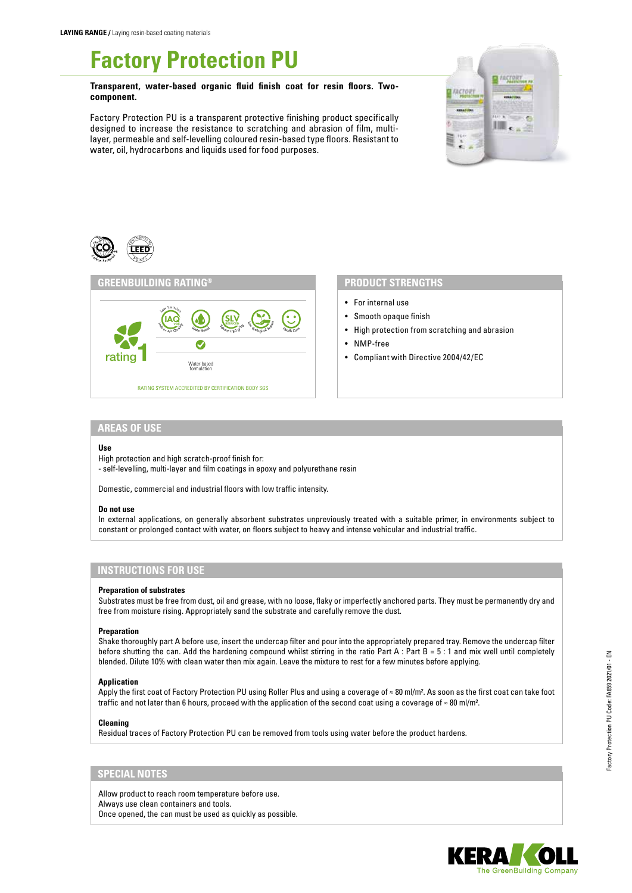# **Factory Protection PU**

**Transparent, water-based organic fluid finish coat for resin floors. Twocomponent.** 

Factory Protection PU is a transparent protective finishing product specifically designed to increase the resistance to scratching and abrasion of film, multilayer, permeable and self-levelling coloured resin-based type floors. Resistant to water, oil, hydrocarbons and liquids used for food purposes.







# **PRODUCT STRENGTHS**

- For internal use
- Smooth opaque finish
- High protection from scratching and abrasion
- NMP-free
- Compliant with Directive 2004/42/EC

## **AREAS OF USE**

#### **Use**

- High protection and high scratch-proof finish for:
- self-levelling, multi-layer and film coatings in epoxy and polyurethane resin

Domestic, commercial and industrial floors with low traffic intensity.

## **Do not use**

In external applications, on generally absorbent substrates unpreviously treated with a suitable primer, in environments subject to constant or prolonged contact with water, on floors subject to heavy and intense vehicular and industrial traffic.

# **INSTRUCTIONS FOR USE**

#### **Preparation of substrates**

Substrates must be free from dust, oil and grease, with no loose, flaky or imperfectly anchored parts. They must be permanently dry and free from moisture rising. Appropriately sand the substrate and carefully remove the dust.

#### **Preparation**

Shake thoroughly part A before use, insert the undercap filter and pour into the appropriately prepared tray. Remove the undercap filter before shutting the can. Add the hardening compound whilst stirring in the ratio Part A : Part B =  $5:1$  and mix well until completely blended. Dilute 10% with clean water then mix again. Leave the mixture to rest for a few minutes before applying.

## **Application**

Apply the first coat of Factory Protection PU using Roller Plus and using a coverage of ≈ 80 ml/m². As soon as the first coat can take foot traffic and not later than 6 hours, proceed with the application of the second coat using a coverage of ≈ 80 ml/m².

#### **Cleaning**

Residual traces of Factory Protection PU can be removed from tools using water before the product hardens.

# **SPECIAL NOTES**

Allow product to reach room temperature before use. Always use clean containers and tools. Once opened, the can must be used as quickly as possible.